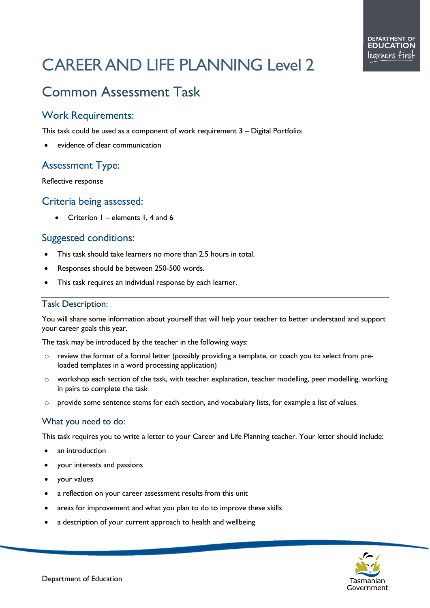# CAREER AND LIFE PLANNING Level 2

# Common Assessment Task

## Work Requirements:

This task could be used as a component of work requirement 3 – Digital Portfolio:

evidence of clear communication

## Assessment Type:

Reflective response

#### Criteria being assessed:

• Criterion  $1$  – elements 1, 4 and 6

#### Suggested conditions:

- This task should take learners no more than 2.5 hours in total.
- Responses should be between 250-500 words.
- This task requires an individual response by each learner.

#### Task Description:

You will share some information about yourself that will help your teacher to better understand and support your career goals this year.

The task may be introduced by the teacher in the following ways:

- o review the format of a formal letter (possibly providing a template, or coach you to select from preloaded templates in a word processing application)
- o workshop each section of the task, with teacher explanation, teacher modelling, peer modelling, working in pairs to complete the task
- o provide some sentence stems for each section, and vocabulary lists, for example a list of values.

#### What you need to do:

This task requires you to write a letter to your Career and Life Planning teacher. Your letter should include:

- an introduction
- your interests and passions
- your values
- a reflection on your career assessment results from this unit
- areas for improvement and what you plan to do to improve these skills
- a description of your current approach to health and wellbeing